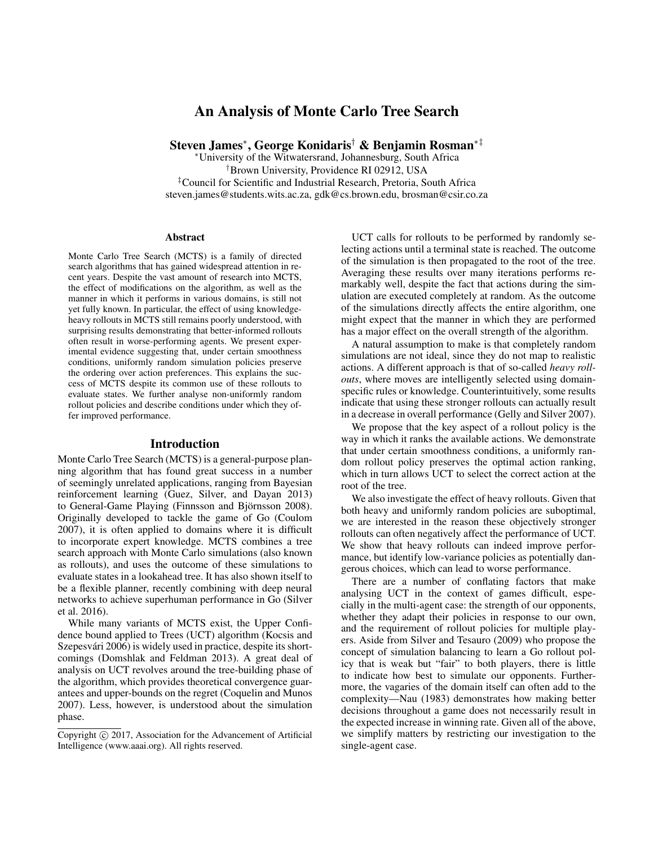# An Analysis of Monte Carlo Tree Search

Steven James<sup>∗</sup> , George Konidaris† & Benjamin Rosman∗‡

<sup>∗</sup>University of the Witwatersrand, Johannesburg, South Africa †Brown University, Providence RI 02912, USA ‡Council for Scientific and Industrial Research, Pretoria, South Africa steven.james@students.wits.ac.za, gdk@cs.brown.edu, brosman@csir.co.za

#### Abstract

Monte Carlo Tree Search (MCTS) is a family of directed search algorithms that has gained widespread attention in recent years. Despite the vast amount of research into MCTS, the effect of modifications on the algorithm, as well as the manner in which it performs in various domains, is still not yet fully known. In particular, the effect of using knowledgeheavy rollouts in MCTS still remains poorly understood, with surprising results demonstrating that better-informed rollouts often result in worse-performing agents. We present experimental evidence suggesting that, under certain smoothness conditions, uniformly random simulation policies preserve the ordering over action preferences. This explains the success of MCTS despite its common use of these rollouts to evaluate states. We further analyse non-uniformly random rollout policies and describe conditions under which they offer improved performance.

#### Introduction

Monte Carlo Tree Search (MCTS) is a general-purpose planning algorithm that has found great success in a number of seemingly unrelated applications, ranging from Bayesian reinforcement learning (Guez, Silver, and Dayan 2013) to General-Game Playing (Finnsson and Björnsson 2008). Originally developed to tackle the game of Go (Coulom 2007), it is often applied to domains where it is difficult to incorporate expert knowledge. MCTS combines a tree search approach with Monte Carlo simulations (also known as rollouts), and uses the outcome of these simulations to evaluate states in a lookahead tree. It has also shown itself to be a flexible planner, recently combining with deep neural networks to achieve superhuman performance in Go (Silver et al. 2016).

While many variants of MCTS exist, the Upper Confidence bound applied to Trees (UCT) algorithm (Kocsis and Szepesvári 2006) is widely used in practice, despite its shortcomings (Domshlak and Feldman 2013). A great deal of analysis on UCT revolves around the tree-building phase of the algorithm, which provides theoretical convergence guarantees and upper-bounds on the regret (Coquelin and Munos 2007). Less, however, is understood about the simulation phase.

UCT calls for rollouts to be performed by randomly selecting actions until a terminal state is reached. The outcome of the simulation is then propagated to the root of the tree. Averaging these results over many iterations performs remarkably well, despite the fact that actions during the simulation are executed completely at random. As the outcome of the simulations directly affects the entire algorithm, one might expect that the manner in which they are performed has a major effect on the overall strength of the algorithm.

A natural assumption to make is that completely random simulations are not ideal, since they do not map to realistic actions. A different approach is that of so-called *heavy rollouts*, where moves are intelligently selected using domainspecific rules or knowledge. Counterintuitively, some results indicate that using these stronger rollouts can actually result in a decrease in overall performance (Gelly and Silver 2007).

We propose that the key aspect of a rollout policy is the way in which it ranks the available actions. We demonstrate that under certain smoothness conditions, a uniformly random rollout policy preserves the optimal action ranking, which in turn allows UCT to select the correct action at the root of the tree.

We also investigate the effect of heavy rollouts. Given that both heavy and uniformly random policies are suboptimal, we are interested in the reason these objectively stronger rollouts can often negatively affect the performance of UCT. We show that heavy rollouts can indeed improve performance, but identify low-variance policies as potentially dangerous choices, which can lead to worse performance.

There are a number of conflating factors that make analysing UCT in the context of games difficult, especially in the multi-agent case: the strength of our opponents, whether they adapt their policies in response to our own, and the requirement of rollout policies for multiple players. Aside from Silver and Tesauro (2009) who propose the concept of simulation balancing to learn a Go rollout policy that is weak but "fair" to both players, there is little to indicate how best to simulate our opponents. Furthermore, the vagaries of the domain itself can often add to the complexity—Nau (1983) demonstrates how making better decisions throughout a game does not necessarily result in the expected increase in winning rate. Given all of the above, we simplify matters by restricting our investigation to the single-agent case.

Copyright  $\odot$  2017, Association for the Advancement of Artificial Intelligence (www.aaai.org). All rights reserved.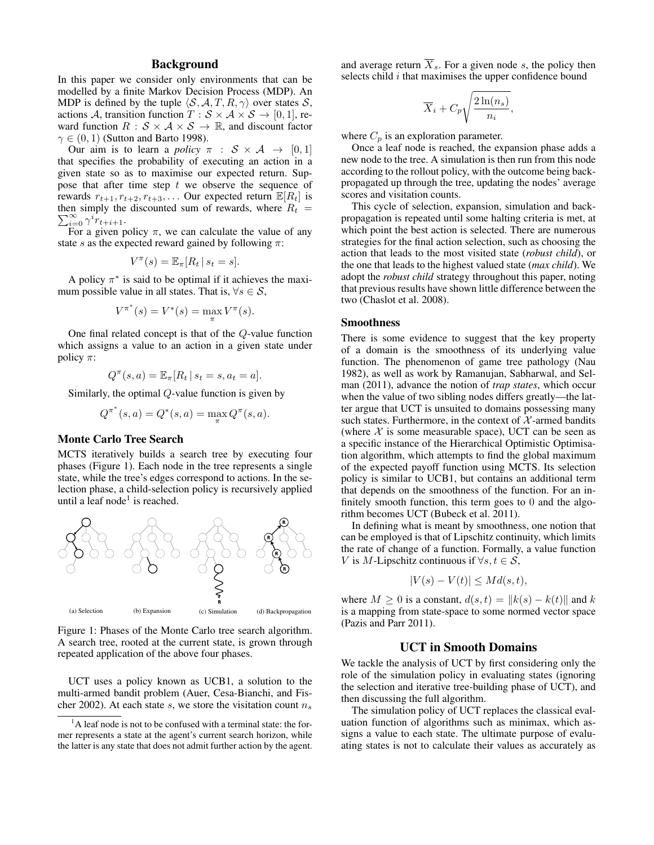## Background

In this paper we consider only environments that can be modelled by a finite Markov Decision Process (MDP). An MDP is defined by the tuple  $\langle S, A, T, R, \gamma \rangle$  over states S, actions A, transition function  $T : \mathcal{S} \times \mathcal{A} \times \mathcal{S} \rightarrow [0, 1]$ , reward function  $R : \mathcal{S} \times \mathcal{A} \times \mathcal{S} \rightarrow \mathbb{R}$ , and discount factor  $\gamma \in (0, 1)$  (Sutton and Barto 1998).

Our aim is to learn a *policy*  $\pi : S \times A \rightarrow [0, 1]$ that specifies the probability of executing an action in a given state so as to maximise our expected return. Suppose that after time step  $t$  we observe the sequence of rewards  $r_{t+1}, r_{t+2}, r_{t+3}, \ldots$  Our expected return  $\mathbb{E}[R_t]$  is then simply the discounted sum of rewards, where  $R_t = \sum_{k=1}^{\infty} a_k i$  $\sum_{i=0}^{\infty} \gamma^i \dot{r}_{t+i+1}.$ 

For a given policy  $\pi$ , we can calculate the value of any state s as the expected reward gained by following  $\pi$ :

$$
V^{\pi}(s) = \mathbb{E}_{\pi}[R_t | s_t = s].
$$

A policy  $\pi^*$  is said to be optimal if it achieves the maximum possible value in all states. That is,  $\forall s \in \mathcal{S}$ ,

$$
V^{\pi^*}(s) = V^*(s) = \max_{\pi} V^{\pi}(s).
$$

One final related concept is that of the Q-value function which assigns a value to an action in a given state under policy  $\pi$ :

$$
Q^{\pi}(s, a) = \mathbb{E}_{\pi}[R_t | s_t = s, a_t = a].
$$

Similarly, the optimal Q-value function is given by

$$
Q^{\pi^*}(s, a) = Q^*(s, a) = \max_{\pi} Q^{\pi}(s, a).
$$

# Monte Carlo Tree Search

MCTS iteratively builds a search tree by executing four phases (Figure 1). Each node in the tree represents a single state, while the tree's edges correspond to actions. In the selection phase, a child-selection policy is recursively applied until a leaf node<sup>1</sup> is reached.



Figure 1: Phases of the Monte Carlo tree search algorithm. A search tree, rooted at the current state, is grown through repeated application of the above four phases.

UCT uses a policy known as UCB1, a solution to the multi-armed bandit problem (Auer, Cesa-Bianchi, and Fischer 2002). At each state s, we store the visitation count  $n_s$ 

and average return  $\overline{X}_s$ . For a given node s, the policy then selects child  $i$  that maximises the upper confidence bound

$$
\overline{X}_i + C_p \sqrt{\frac{2\ln(n_s)}{n_i}},
$$

where  $C_p$  is an exploration parameter.

Once a leaf node is reached, the expansion phase adds a new node to the tree. A simulation is then run from this node according to the rollout policy, with the outcome being backpropagated up through the tree, updating the nodes' average scores and visitation counts.

This cycle of selection, expansion, simulation and backpropagation is repeated until some halting criteria is met, at which point the best action is selected. There are numerous strategies for the final action selection, such as choosing the action that leads to the most visited state (*robust child*), or the one that leads to the highest valued state (*max child*). We adopt the *robust child* strategy throughout this paper, noting that previous results have shown little difference between the two (Chaslot et al. 2008).

#### Smoothness

There is some evidence to suggest that the key property of a domain is the smoothness of its underlying value function. The phenomenon of game tree pathology (Nau 1982), as well as work by Ramanujan, Sabharwal, and Selman (2011), advance the notion of *trap states*, which occur when the value of two sibling nodes differs greatly—the latter argue that UCT is unsuited to domains possessing many such states. Furthermore, in the context of  $X$ -armed bandits (where  $X$  is some measurable space), UCT can be seen as a specific instance of the Hierarchical Optimistic Optimisation algorithm, which attempts to find the global maximum of the expected payoff function using MCTS. Its selection policy is similar to UCB1, but contains an additional term that depends on the smoothness of the function. For an infinitely smooth function, this term goes to 0 and the algorithm becomes UCT (Bubeck et al. 2011).

In defining what is meant by smoothness, one notion that can be employed is that of Lipschitz continuity, which limits the rate of change of a function. Formally, a value function V is M-Lipschitz continuous if  $\forall s, t \in \mathcal{S}$ ,

$$
|V(s) - V(t)| \leq Md(s, t),
$$

where  $M > 0$  is a constant,  $d(s, t) = ||k(s) - k(t)||$  and k is a mapping from state-space to some normed vector space (Pazis and Parr 2011).

#### UCT in Smooth Domains

We tackle the analysis of UCT by first considering only the role of the simulation policy in evaluating states (ignoring the selection and iterative tree-building phase of UCT), and then discussing the full algorithm.

The simulation policy of UCT replaces the classical evaluation function of algorithms such as minimax, which assigns a value to each state. The ultimate purpose of evaluating states is not to calculate their values as accurately as

 $<sup>1</sup>A$  leaf node is not to be confused with a terminal state: the for-</sup> mer represents a state at the agent's current search horizon, while the latter is any state that does not admit further action by the agent.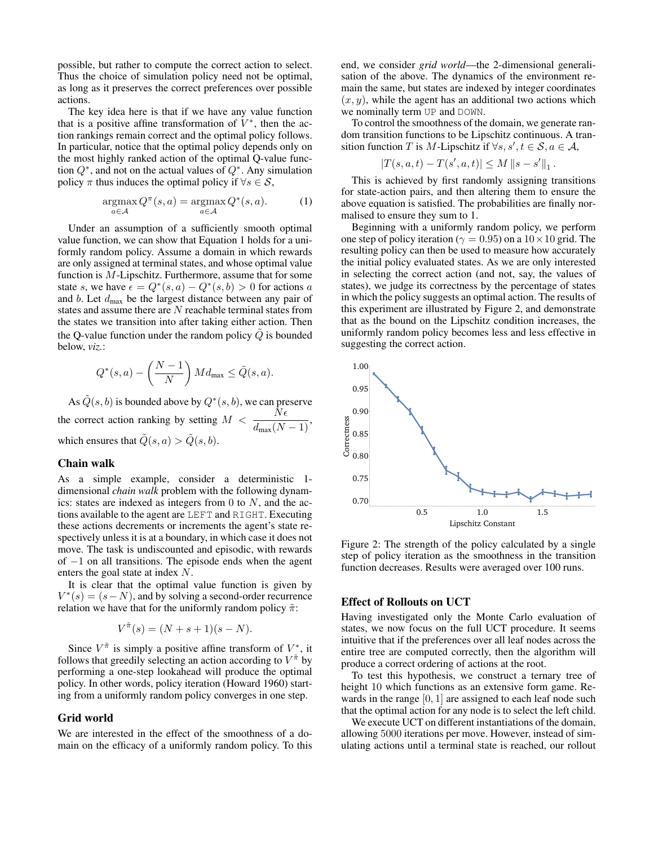possible, but rather to compute the correct action to select. Thus the choice of simulation policy need not be optimal, as long as it preserves the correct preferences over possible actions.

The key idea here is that if we have any value function that is a positive affine transformation of  $V^*$ , then the action rankings remain correct and the optimal policy follows. In particular, notice that the optimal policy depends only on the most highly ranked action of the optimal Q-value function  $Q^*$ , and not on the actual values of  $Q^*$ . Any simulation policy  $\pi$  thus induces the optimal policy if  $\forall s \in \mathcal{S}$ ,

$$
\underset{a \in \mathcal{A}}{\operatorname{argmax}} Q^{\pi}(s, a) = \underset{a \in \mathcal{A}}{\operatorname{argmax}} Q^*(s, a). \tag{1}
$$

Under an assumption of a sufficiently smooth optimal value function, we can show that Equation 1 holds for a uniformly random policy. Assume a domain in which rewards are only assigned at terminal states, and whose optimal value function is M-Lipschitz. Furthermore, assume that for some state s, we have  $\epsilon = Q^*(s, a) - Q^*(s, b) > 0$  for actions a and  $b$ . Let  $d_{\text{max}}$  be the largest distance between any pair of states and assume there are  $N$  reachable terminal states from the states we transition into after taking either action. Then the Q-value function under the random policy  $\tilde{Q}$  is bounded below, *viz.*:

$$
Q^*(s, a) - \left(\frac{N-1}{N}\right) M d_{\max} \le \tilde{Q}(s, a).
$$

As  $\tilde{Q}(s,b)$  is bounded above by  $Q^*(s,b),$  we can preserve the correct action ranking by setting  $M < \frac{N\epsilon}{d_{\text{max}}(N-1)}$ , which ensures that  $\tilde{Q}(s, a) > \tilde{Q}(s, b)$ .

## Chain walk

As a simple example, consider a deterministic 1 dimensional *chain walk* problem with the following dynamics: states are indexed as integers from 0 to  $N$ , and the actions available to the agent are LEFT and RIGHT. Executing these actions decrements or increments the agent's state respectively unless it is at a boundary, in which case it does not move. The task is undiscounted and episodic, with rewards of −1 on all transitions. The episode ends when the agent enters the goal state at index N.

It is clear that the optimal value function is given by  $V^*(s) = (s - N)$ , and by solving a second-order recurrence relation we have that for the uniformly random policy  $\tilde{\pi}$ :

$$
V^{\tilde{\pi}}(s) = (N + s + 1)(s - N).
$$

Since  $V^{\tilde{\pi}}$  is simply a positive affine transform of  $V^*$ , it follows that greedily selecting an action according to  $V^{\tilde{\pi}}$  by performing a one-step lookahead will produce the optimal policy. In other words, policy iteration (Howard 1960) starting from a uniformly random policy converges in one step.

#### Grid world

We are interested in the effect of the smoothness of a domain on the efficacy of a uniformly random policy. To this

end, we consider *grid world*—the 2-dimensional generalisation of the above. The dynamics of the environment remain the same, but states are indexed by integer coordinates  $(x, y)$ , while the agent has an additional two actions which we nominally term UP and DOWN.

To control the smoothness of the domain, we generate random transition functions to be Lipschitz continuous. A transition function T is M-Lipschitz if  $\forall s, s', t \in \mathcal{S}, a \in \mathcal{A}$ ,

$$
\left|T(s,a,t)-T(s',a,t)\right|\leq M\left\|s-s'\right\|_1.
$$

This is achieved by first randomly assigning transitions for state-action pairs, and then altering them to ensure the above equation is satisfied. The probabilities are finally normalised to ensure they sum to 1.

Beginning with a uniformly random policy, we perform one step of policy iteration ( $\gamma = 0.95$ ) on a  $10 \times 10$  grid. The resulting policy can then be used to measure how accurately the initial policy evaluated states. As we are only interested in selecting the correct action (and not, say, the values of states), we judge its correctness by the percentage of states in which the policy suggests an optimal action. The results of this experiment are illustrated by Figure 2, and demonstrate that as the bound on the Lipschitz condition increases, the uniformly random policy becomes less and less effective in suggesting the correct action.



Figure 2: The strength of the policy calculated by a single step of policy iteration as the smoothness in the transition function decreases. Results were averaged over 100 runs.

### Effect of Rollouts on UCT

Having investigated only the Monte Carlo evaluation of states, we now focus on the full UCT procedure. It seems intuitive that if the preferences over all leaf nodes across the entire tree are computed correctly, then the algorithm will produce a correct ordering of actions at the root.

To test this hypothesis, we construct a ternary tree of height 10 which functions as an extensive form game. Rewards in the range  $[0, 1]$  are assigned to each leaf node such that the optimal action for any node is to select the left child.

We execute UCT on different instantiations of the domain, allowing 5000 iterations per move. However, instead of simulating actions until a terminal state is reached, our rollout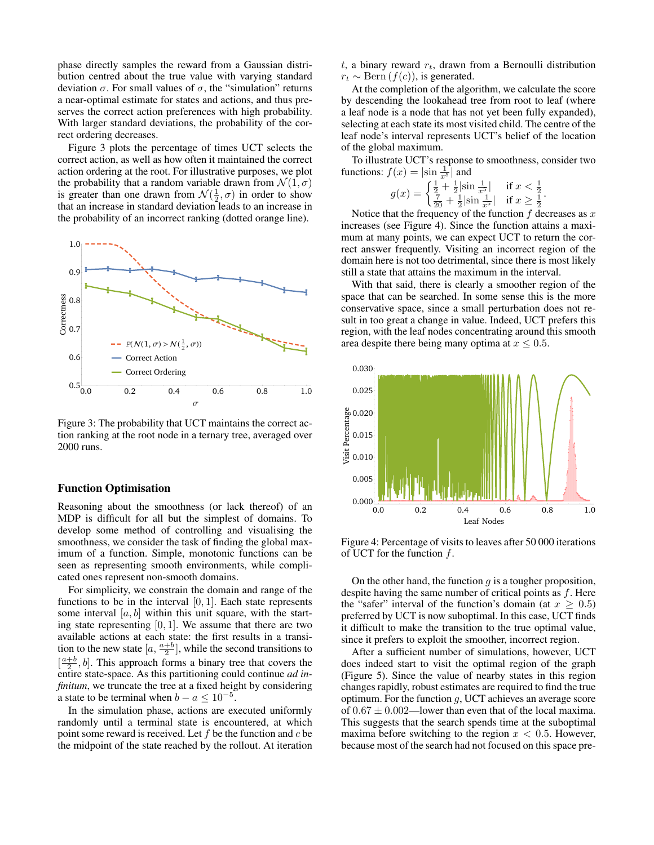phase directly samples the reward from a Gaussian distribution centred about the true value with varying standard deviation σ. For small values of σ, the "simulation" returns a near-optimal estimate for states and actions, and thus preserves the correct action preferences with high probability. With larger standard deviations, the probability of the correct ordering decreases.

Figure 3 plots the percentage of times UCT selects the correct action, as well as how often it maintained the correct action ordering at the root. For illustrative purposes, we plot the probability that a random variable drawn from  $\mathcal{N}(1,\sigma)$ is greater than one drawn from  $\mathcal{N}(\frac{1}{2}, \sigma)$  in order to show that an increase in standard deviation leads to an increase in the probability of an incorrect ranking (dotted orange line).



Figure 3: The probability that UCT maintains the correct action ranking at the root node in a ternary tree, averaged over 2000 runs.

#### Function Optimisation

Reasoning about the smoothness (or lack thereof) of an MDP is difficult for all but the simplest of domains. To develop some method of controlling and visualising the smoothness, we consider the task of finding the global maximum of a function. Simple, monotonic functions can be seen as representing smooth environments, while complicated ones represent non-smooth domains.

For simplicity, we constrain the domain and range of the functions to be in the interval  $[0, 1]$ . Each state represents some interval  $[a, b]$  within this unit square, with the starting state representing  $[0, 1]$ . We assume that there are two available actions at each state: the first results in a transition to the new state  $[a, \frac{a+b}{2}]$ , while the second transitions to  $\left[\frac{a+b}{2}, b\right]$ . This approach forms a binary tree that covers the entire state-space. As this partitioning could continue *ad infinitum*, we truncate the tree at a fixed height by considering a state to be terminal when  $b - a \leq 10^{-5}$ .

In the simulation phase, actions are executed uniformly randomly until a terminal state is encountered, at which point some reward is received. Let  $f$  be the function and  $c$  be the midpoint of the state reached by the rollout. At iteration  $t$ , a binary reward  $r_t$ , drawn from a Bernoulli distribution  $r_t \sim \text{Bern}(f(c))$ , is generated.

At the completion of the algorithm, we calculate the score by descending the lookahead tree from root to leaf (where a leaf node is a node that has not yet been fully expanded), selecting at each state its most visited child. The centre of the leaf node's interval represents UCT's belief of the location of the global maximum.

To illustrate UCT's response to smoothness, consider two functions:  $f(x) = |\sin \frac{1}{x^5}|$  and

$$
g(x) = \begin{cases} \frac{1}{2} + \frac{1}{2} |\sin \frac{1}{x^5}| & \text{if } x < \frac{1}{2} \\ \frac{7}{20} + \frac{1}{2} |\sin \frac{1}{x^5}| & \text{if } x \ge \frac{1}{2} \end{cases}
$$

.

Notice that the frequency of the function  $f$  decreases as  $x$ increases (see Figure 4). Since the function attains a maximum at many points, we can expect UCT to return the correct answer frequently. Visiting an incorrect region of the domain here is not too detrimental, since there is most likely still a state that attains the maximum in the interval.

With that said, there is clearly a smoother region of the space that can be searched. In some sense this is the more conservative space, since a small perturbation does not result in too great a change in value. Indeed, UCT prefers this region, with the leaf nodes concentrating around this smooth area despite there being many optima at  $x \leq 0.5$ .



Figure 4: Percentage of visits to leaves after 50 000 iterations of UCT for the function f.

On the other hand, the function  $q$  is a tougher proposition, despite having the same number of critical points as  $f$ . Here the "safer" interval of the function's domain (at  $x \geq 0.5$ ) preferred by UCT is now suboptimal. In this case, UCT finds it difficult to make the transition to the true optimal value, since it prefers to exploit the smoother, incorrect region.

After a sufficient number of simulations, however, UCT does indeed start to visit the optimal region of the graph (Figure 5). Since the value of nearby states in this region changes rapidly, robust estimates are required to find the true optimum. For the function  $q$ , UCT achieves an average score of  $0.67 \pm 0.002$ —lower than even that of the local maxima. This suggests that the search spends time at the suboptimal maxima before switching to the region  $x < 0.5$ . However, because most of the search had not focused on this space pre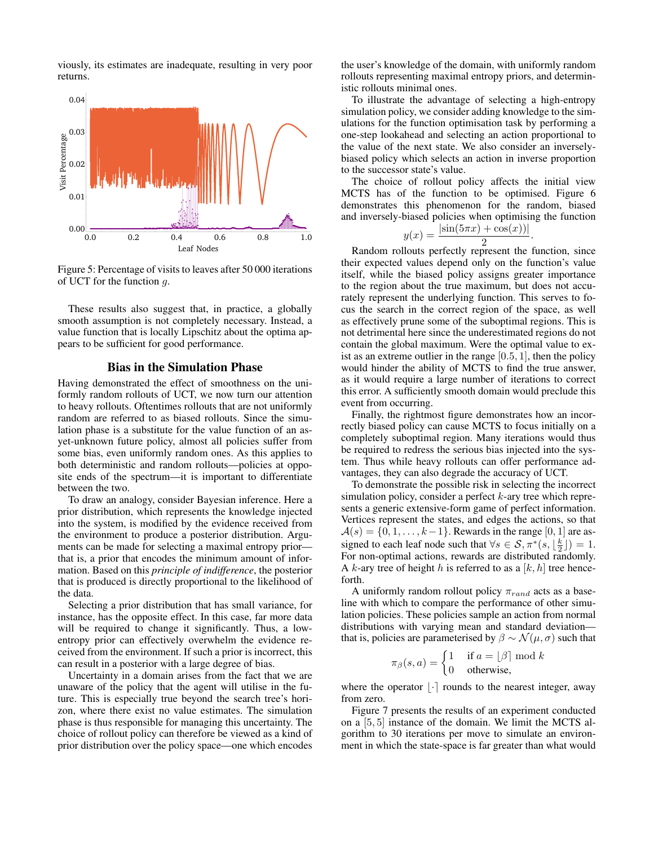viously, its estimates are inadequate, resulting in very poor returns.



Figure 5: Percentage of visits to leaves after 50 000 iterations of UCT for the function  $q$ .

These results also suggest that, in practice, a globally smooth assumption is not completely necessary. Instead, a value function that is locally Lipschitz about the optima appears to be sufficient for good performance.

#### Bias in the Simulation Phase

Having demonstrated the effect of smoothness on the uniformly random rollouts of UCT, we now turn our attention to heavy rollouts. Oftentimes rollouts that are not uniformly random are referred to as biased rollouts. Since the simulation phase is a substitute for the value function of an asyet-unknown future policy, almost all policies suffer from some bias, even uniformly random ones. As this applies to both deterministic and random rollouts—policies at opposite ends of the spectrum—it is important to differentiate between the two.

To draw an analogy, consider Bayesian inference. Here a prior distribution, which represents the knowledge injected into the system, is modified by the evidence received from the environment to produce a posterior distribution. Arguments can be made for selecting a maximal entropy prior that is, a prior that encodes the minimum amount of information. Based on this *principle of indifference*, the posterior that is produced is directly proportional to the likelihood of the data.

Selecting a prior distribution that has small variance, for instance, has the opposite effect. In this case, far more data will be required to change it significantly. Thus, a lowentropy prior can effectively overwhelm the evidence received from the environment. If such a prior is incorrect, this can result in a posterior with a large degree of bias.

Uncertainty in a domain arises from the fact that we are unaware of the policy that the agent will utilise in the future. This is especially true beyond the search tree's horizon, where there exist no value estimates. The simulation phase is thus responsible for managing this uncertainty. The choice of rollout policy can therefore be viewed as a kind of prior distribution over the policy space—one which encodes

the user's knowledge of the domain, with uniformly random rollouts representing maximal entropy priors, and deterministic rollouts minimal ones.

To illustrate the advantage of selecting a high-entropy simulation policy, we consider adding knowledge to the simulations for the function optimisation task by performing a one-step lookahead and selecting an action proportional to the value of the next state. We also consider an inverselybiased policy which selects an action in inverse proportion to the successor state's value.

The choice of rollout policy affects the initial view MCTS has of the function to be optimised. Figure 6 demonstrates this phenomenon for the random, biased and inversely-biased policies when optimising the function

$$
y(x) = \frac{|\sin(5\pi x) + \cos(x))|}{2}.
$$

Random rollouts perfectly represent the function, since their expected values depend only on the function's value itself, while the biased policy assigns greater importance to the region about the true maximum, but does not accurately represent the underlying function. This serves to focus the search in the correct region of the space, as well as effectively prune some of the suboptimal regions. This is not detrimental here since the underestimated regions do not contain the global maximum. Were the optimal value to exist as an extreme outlier in the range  $[0.5, 1]$ , then the policy would hinder the ability of MCTS to find the true answer, as it would require a large number of iterations to correct this error. A sufficiently smooth domain would preclude this event from occurring.

Finally, the rightmost figure demonstrates how an incorrectly biased policy can cause MCTS to focus initially on a completely suboptimal region. Many iterations would thus be required to redress the serious bias injected into the system. Thus while heavy rollouts can offer performance advantages, they can also degrade the accuracy of UCT.

To demonstrate the possible risk in selecting the incorrect simulation policy, consider a perfect  $k$ -ary tree which represents a generic extensive-form game of perfect information. Vertices represent the states, and edges the actions, so that  $A(s) = \{0, 1, \ldots, k-1\}$ . Rewards in the range [0, 1] are assigned to each leaf node such that  $\forall s \in S, \pi^*(s, \lfloor \frac{k}{2} \rfloor) = 1$ . For non-optimal actions, rewards are distributed randomly. A k-ary tree of height h is referred to as a  $[k, h]$  tree henceforth.

A uniformly random rollout policy  $\pi_{rand}$  acts as a baseline with which to compare the performance of other simulation policies. These policies sample an action from normal distributions with varying mean and standard deviation that is, policies are parameterised by  $\beta \sim \mathcal{N}(\mu, \sigma)$  such that

$$
\pi_{\beta}(s, a) = \begin{cases} 1 & \text{if } a = \lfloor \beta \rfloor \bmod k \\ 0 & \text{otherwise,} \end{cases}
$$

where the operator  $|\cdot|$  rounds to the nearest integer, away from zero.

Figure 7 presents the results of an experiment conducted on a [5, 5] instance of the domain. We limit the MCTS algorithm to 30 iterations per move to simulate an environment in which the state-space is far greater than what would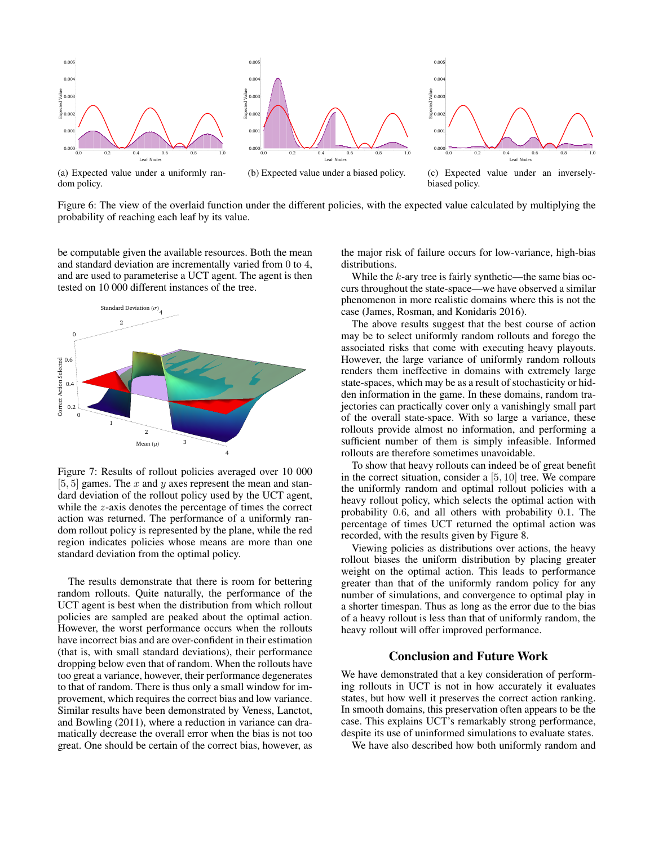

(a) Expected value under a uniformly random policy.

(b) Expected value under a biased policy.

(c) Expected value under an inverselybiased policy.

Figure 6: The view of the overlaid function under the different policies, with the expected value calculated by multiplying the probability of reaching each leaf by its value.

be computable given the available resources. Both the mean and standard deviation are incrementally varied from 0 to 4, and are used to parameterise a UCT agent. The agent is then tested on 10 000 different instances of the tree.



Figure 7: Results of rollout policies averaged over 10 000  $[5, 5]$  games. The x and y axes represent the mean and standard deviation of the rollout policy used by the UCT agent, while the z-axis denotes the percentage of times the correct action was returned. The performance of a uniformly random rollout policy is represented by the plane, while the red region indicates policies whose means are more than one standard deviation from the optimal policy.

The results demonstrate that there is room for bettering random rollouts. Quite naturally, the performance of the UCT agent is best when the distribution from which rollout policies are sampled are peaked about the optimal action. However, the worst performance occurs when the rollouts have incorrect bias and are over-confident in their estimation (that is, with small standard deviations), their performance dropping below even that of random. When the rollouts have too great a variance, however, their performance degenerates to that of random. There is thus only a small window for improvement, which requires the correct bias and low variance. Similar results have been demonstrated by Veness, Lanctot, and Bowling (2011), where a reduction in variance can dramatically decrease the overall error when the bias is not too great. One should be certain of the correct bias, however, as

the major risk of failure occurs for low-variance, high-bias distributions.

While the  $k$ -ary tree is fairly synthetic—the same bias occurs throughout the state-space—we have observed a similar phenomenon in more realistic domains where this is not the case (James, Rosman, and Konidaris 2016).

The above results suggest that the best course of action may be to select uniformly random rollouts and forego the associated risks that come with executing heavy playouts. However, the large variance of uniformly random rollouts renders them ineffective in domains with extremely large state-spaces, which may be as a result of stochasticity or hidden information in the game. In these domains, random trajectories can practically cover only a vanishingly small part of the overall state-space. With so large a variance, these rollouts provide almost no information, and performing a sufficient number of them is simply infeasible. Informed rollouts are therefore sometimes unavoidable.

To show that heavy rollouts can indeed be of great benefit in the correct situation, consider a [5, 10] tree. We compare the uniformly random and optimal rollout policies with a heavy rollout policy, which selects the optimal action with probability 0.6, and all others with probability 0.1. The percentage of times UCT returned the optimal action was recorded, with the results given by Figure 8.

Viewing policies as distributions over actions, the heavy rollout biases the uniform distribution by placing greater weight on the optimal action. This leads to performance greater than that of the uniformly random policy for any number of simulations, and convergence to optimal play in a shorter timespan. Thus as long as the error due to the bias of a heavy rollout is less than that of uniformly random, the heavy rollout will offer improved performance.

# Conclusion and Future Work

We have demonstrated that a key consideration of performing rollouts in UCT is not in how accurately it evaluates states, but how well it preserves the correct action ranking. In smooth domains, this preservation often appears to be the case. This explains UCT's remarkably strong performance, despite its use of uninformed simulations to evaluate states.

We have also described how both uniformly random and